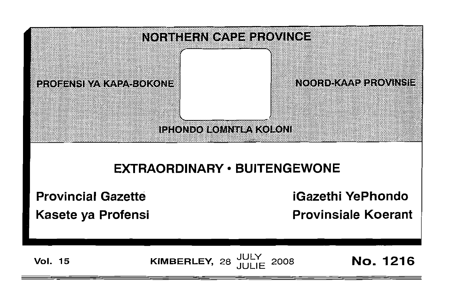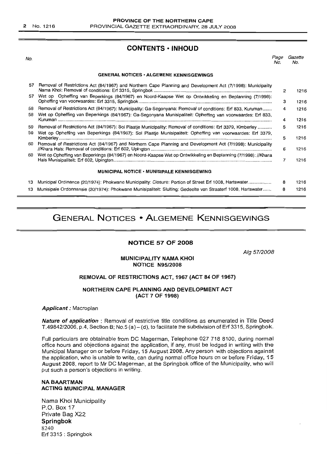2 No. 1216

# **CONTENTS • INHOUD**

No.

Page Gazette No. No.

#### **GENERAL NOTICES· ALGEMENE KENNISGEWINGS**

| 57       | Removal of Restrictions Act (84/1967) and Northern Cape Planning and Development Act (7/1998): Municipality                                                                                                               | 2      | 1216         |
|----------|---------------------------------------------------------------------------------------------------------------------------------------------------------------------------------------------------------------------------|--------|--------------|
| 57       | Wet op Opheffing van Beperkings (84/1967) en Noord-Kaapse Wet op Ontwikkeling en Beplanning (7/1998):                                                                                                                     | з      | 1216         |
| 58<br>58 | Removal of Restrictions Act (84/1967): Municipality: Ga-Segonyana: Removal of conditions: Erf 833, Kuruman<br>Wet op Opheffing van Beperkings (84/1967): Ga-Segonyana Munisipaliteit: Opheffing van voorwaardes: Erf 833, | 4      | 1216         |
| 59       | Removal of Restrictions Act (84/1967): Sol Plaatie Municipality: Removal of conditions: Erf 3379, Kimberley                                                                                                               | 4<br>5 | 1216<br>1216 |
| 59       | Wet op Opheffing van Beperkings (84/1967): Sol Plaatje Munisipaliteit: Opheffing van voorwaardes: Erf 3379,                                                                                                               | 5      | 1216         |
| 60.      | Removal of Restrictions Act (84/1967) and Northern Cape Planning and Development Act (7/1998): Municipality                                                                                                               | 6      | 1216         |
| 60       | Wet op Opheffing van Beperkings (84/1967) en Noord-Kaapse Wet op Ontwikkeling en Beplanning (7/1998): //Khara                                                                                                             |        | 1216         |
|          | <b>MUNICIPAL NOTICE • MUNISIPALE KENNISGEWING</b>                                                                                                                                                                         |        |              |
| 13       | Municipal Ordinance (20/1974): Phokwane Municipality: Closure: Portion of Street Erf 1008, Hartswater                                                                                                                     | 8      | 1216         |
| 13       | Munisipale Ordonnansie (20/1974): Phokwane Munisipaliteit: Sluiting: Gedeelte van Straaterf 1008, Hartswater                                                                                                              | 8      | 1216         |

# **GENERAL NOTICES • ALGEMENE KENNISGEWINGS**

#### **NOTICE 57 OF 2008**

Aig 57/2008

#### **MUNICIPALITY NAMA KHOI NOTICE N95/2008**

#### **REMOVAL OF RESTRICTIONS ACT, 1967 (ACT 84 OF 1967)**

#### **NORTHERN CAPE PLANNING AND DEVELOPMENT ACT (ACT 7 OF 1998)**

**Applicant:** Macroplan

**Nature of application** : Removal of restrictive title conditions as enumerated in Title Deed *T.49842/2006,* p.4, Section B; NO.5 (a) - (d), to facilitate the subdivision of Erf 3315, Springbok.

**Full** particulars are obtainable from DC Magerman, Telephone 027 7188100, during normal office hours and objections against the application, if any, must be lodged in writing with the Municipal Manager on or before Friday, 15 August 2008. Any person with objections against the application, who is unable to write, can during normal office hours on or before Friday, 15 August 2008, report to Mr DC Magerman, at the Springbok office of the Municipality, who will put such a person's objections in writing.

#### **NABAARTMAN ACTING MUNICIPAL MANAGER**

Nama Khoi Municipality P.O. Box 17 Private Bag X22 **Springbok** 8240 Erf 3315 : Springbok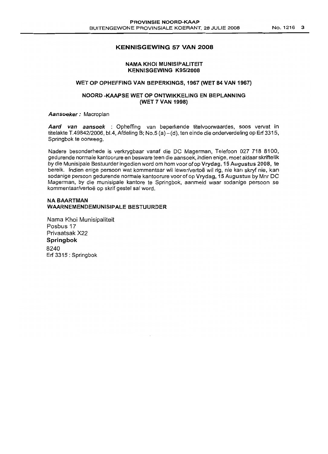#### **KENNISGEWING 57 VAN 2008**

#### **NAMA KHOI MUNISIPALITEIT KENNISGEWING K95/2008**

#### **WET OP OPHEFFING VAN BEPERKINGS, 1967 (WET 84 VAN 1967)**

#### **NOORD -KAAPSE WET OP ONTWIKKELING EN BEPLANNING (WET 7 VAN 1998)**

**Aansoeker:** Macroplan

**Aard van aansoek** : Opheffing van beperkende titelvoorwaardes, soos vervat in titelakte T.4984212006, bl.4, Afdeling B; NO.5 (a) - (d), ten einde die onderverdeling op **Erf**3315, Springbok te oorweeg.

Nadere besonderhede is verkrygbaar vanaf die DC Magerman, Telefoon 027 718 8100, gedurende normale kantoorure en besware teen die aansoek, indien enige, moet aldaar skriftelik by die Munisipale Bestuurder ingedien word om hom voor of op Vrydag, 15 Augustus 2008, te bereik. Indien enige persoon wat kommentaar wil lewer/vertoë wil rig, nie kan skryf nie, kan sodanige persoon gedurende normale kantoorure voor of op Vrydag, 15 Augustus by Mnr DC Magerman, by die munisipale kantore te Springbok, aanmeld waar sodanige persoon se kommentaar/vertoe op skrif gestel sal word.

#### **NABAARTMAN WAARNEMENDEMUNISIPALE BESTUURDER**

Nama Khoi Munisipaliteit Posbus 17 Privaatsak X22 **Springbok** 8240 Erf 3315 : Springbok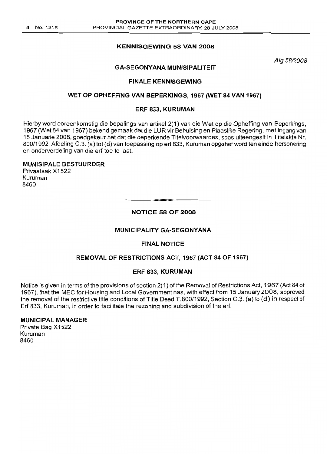## KENNISGEWING 58 VAN 2008

Alg 58/2008

## GA-SEGONYANA MUNISIPALITEIT

#### FINALE KENNISGEWING

#### WET OP OPHEFFING VAN BEPERKINGS, 1967 (WET 84 VAN 1967)

#### ERF 833, KURUMAN

Hierby word ooreenkomstig die bepalings van artikel 2(1) van die Wet op die Opheffing van Beperkings, 1967 (Wet 84 van 1967) bekend gemaak dat die LUR vir Behuising en Plaaslike Regering, met ingang van 15 Januarie 2008, goedgekeur het dat die beperkende Titelvoorwaardes, soos uiteengesit in Titelakte Nr. 800/1992, Afdeling C.3. (a) tot (d) van toepassing op erf 833, Kuruman opgehefword ten einde hersonering en onderverdeling van die erf toe te laat.

#### MUNISIPALE BESTUURDER

Privaatsak X1522 Kuruman 8460

## NOTICE 58 OF 2008

**-**

#### MUNICIPALITY GA-SEGONYANA

## FINAL NOTICE

## REMOVAL OF RESTRICTIONS ACT, 1967 (ACT 84 OF 1967)

#### ERF 833, KURUMAN

Notice is given in terms of the provisions of section 2(1) of the Removal of Restrictions Act, 1967 (Act 84 of 1967), that the MEC for Housing and Local Government has, with effect from 15 January 2008, approved the removal of the restrictive title conditions of Title Deed T.800/1992, Section C.3. (a) to (d) in respect of Erf 833, Kuruman, in order to facilitate the rezoning and subdivision of the erf.

#### MUNICIPAL MANAGER

Private Bag X1522 Kuruman 8460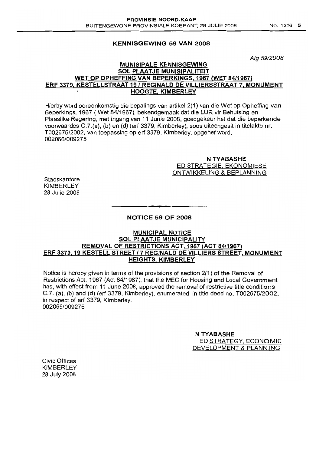#### KENNISGEWING 59 VAN 2008

*Alg 5912008*

## MUNISIPALE KENNISGEWING SOL PLAATJE MUNISIPALITEIT WET OP OPHEFFING VAN BEPERKINGS, 1967 (WET 84/1967) ERF 3379, KESTELLSTRAAT 19/ REGINALD DE VILLlERSSTRAAT 7, MONUMENT HOOGTE, KIMBERLEY

Hierby word ooreenkomstig die bepalings van artikel 2(1) van die Wet op Opheffing van Beperkings, 1967 ( Wet 84/1967), bekendgemaak dat die LUR vir Behuising en Plaaslike Regering, met ingang van 11 Junie 2008, goedgekeur het dat die beperkende voorwaardes C.7.(a), (b) en (d) (erf 3379, Kimberley), soos uiteengesit in titelakte nr. T002675/2002, van toepassing op erf 3379, Kimberley, opgehef word. 002066/009275

#### N TYABASHE ED STRATEGIE, EKONOMIESE ONTWIKKELING & BEPLANNING

**Stadskantore** KIMBERLEY 28 Julie 2008

# **•** NOTICE 59 OF 2008

#### MUNICIPAL NOTICE SOL PLAATJE MUNICIPALITY REMOVAL OF RESTRICTIONS ACT, 1967 (ACT 84/1967) ERF 3379,19 KESTELL STREET /7 REGINALD DE VILLIERS STREET, MONUMENT HEIGHTS, KIMBERLEY

Notice is hereby given in terms of the provisions of section 2(1) of the Removal of Restrictions Act, 1967 (Act 84/1967), that the MEC for Housing and Local Government has, with effect from 11 June 2008, approved the removal of restrictive title conditions C.7. (a), (b) and (d) (erf 3379, Kimberley), enumerated in title deed no. T002675/2002, in respect of erf 3379, Kimberley. 0020661009275

> N TYABASHE ED STRATEGY, ECONOMIC DEVELOPMENT & PLANNING

Civic Offices KIMBERLEY 28 July 2008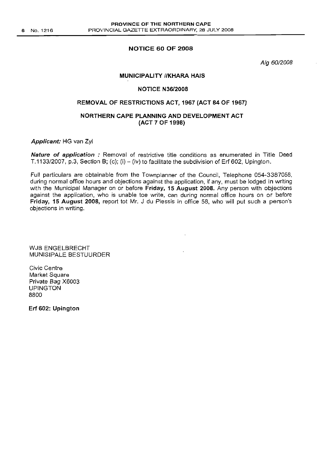#### NOTICE 60 OF 2008

*Aig 6012008*

#### **MUNICIPALITY //KHARA HAIS**

#### NOTICE N36/2008

# REMOVAL OF RESTRICTIONS ACT, 1967 (ACT 84 OF 1967)

# NORTHERN CAPE PLANNING AND DEVELOPMENT ACT (ACT 7 OF 1998)

Applicant: HG van Zyl

Nature of application : Removal of restrictive title conditions as enumerated in Title Deed T.1133/2007, p.3, Section B; (c); (i)  $-$  (iv) to facilitate the subdivision of Erf 602, Upington.

Full particulars are obtainable from the Townplanner of the Council, Telephone 054-3387058, during normal office hours and objections against the application. if any, must be lodged in writing with the Municipal Manager on or before Friday, 15 August 2008. Any person with objections against the application, who is unable toe write, can during normal office hours on or before Friday, 15 August 2008, report tot Mr. J du Plessis in office 58, who will put such a person's objections in writing.

WJB ENGELBRECHT MUNISIPALE BESTUURDER

Civic Centre Market Square Private Bag X6003 UPINGTON 8800

Erf 602: Upington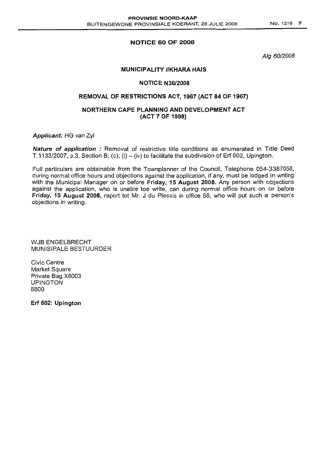# NOTICE 60 OF 2008

*Alg 6012008*

## **MUNICIPALITY //KHARA HAIS**

#### NOTICE N36/2008

# REMOVAL OF RESTRICTIONS ACT, 1967 (ACT 84 OF 1967)

## NORTHERN CAPE PLANNING AND DEVELOPMENT ACT (ACT 7 OF 1998)

Applicant: HG van Zyl

Nature of application : Removal of restrictive title conditions as enumerated in Title Deed T.1133/2007, p.3, Section B; (c); (i) – (iv) to facilitate the subdivision of Erf 602, Upington.

Full particulars are obtainable from the Townplanner of the Council, Telephone 054-3387058, during normal office hours and objections against the application, if any, must be lodged in writing with the Municipal Manager on or before Friday, 15 August 2008. Any person with objections against the application, who is unable toe write. can during normal office hours on or before Friday, 15 August 2008, report tot Mr. J du Plessis in office 58. who will put such a person's objections in writing.

WJB ENGELBRECHT MUNISIPALE BESTUURDER

Civic Centre Market Square Private Bag X6003 UPINGTON 8800

Erf 602: Upington